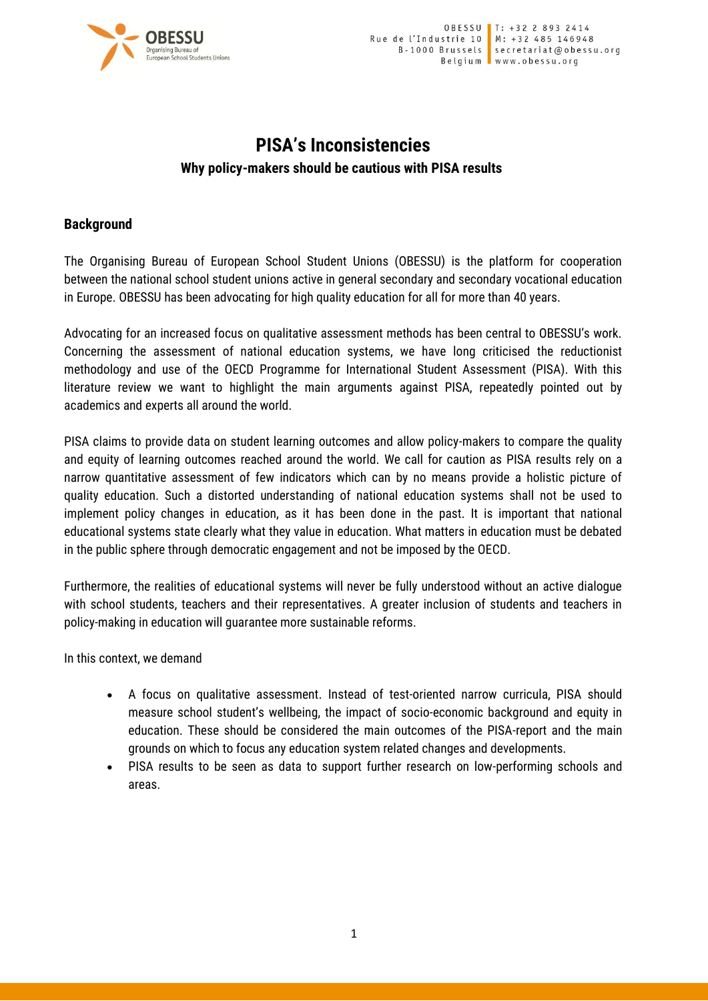

# **PISA's Inconsistencies Why policy-makers should be cautious with PISA results**

### **Background**

The Organising Bureau of European School Student Unions (OBESSU) is the platform for cooperation between the national school student unions active in general secondary and secondary vocational education in Europe. OBESSU has been advocating for high quality education for all for more than 40 years.

Advocating for an increased focus on qualitative assessment methods has been central to OBESSU's work. Concerning the assessment of national education systems, we have long criticised the reductionist methodology and use of the OECD Programme for International Student Assessment (PISA). With this literature review we want to highlight the main arguments against PISA, repeatedly pointed out by academics and experts all around the world.

PISA claims to provide data on student learning outcomes and allow policy-makers to compare the quality and equity of learning outcomes reached around the world. We call for caution as PISA results rely on a narrow quantitative assessment of few indicators which can by no means provide a holistic picture of quality education. Such a distorted understanding of national education systems shall not be used to implement policy changes in education, as it has been done in the past. It is important that national educational systems state clearly what they value in education. What matters in education must be debated in the public sphere through democratic engagement and not be imposed by the OECD.

Furthermore, the realities of educational systems will never be fully understood without an active dialogue with school students, teachers and their representatives. A greater inclusion of students and teachers in policy-making in education will guarantee more sustainable reforms.

In this context, we demand

- A focus on qualitative assessment. Instead of test-oriented narrow curricula, PISA should measure school student's wellbeing, the impact of socio-economic background and equity in education. These should be considered the main outcomes of the PISA-report and the main grounds on which to focus any education system related changes and developments.
- PISA results to be seen as data to support further research on low-performing schools and areas.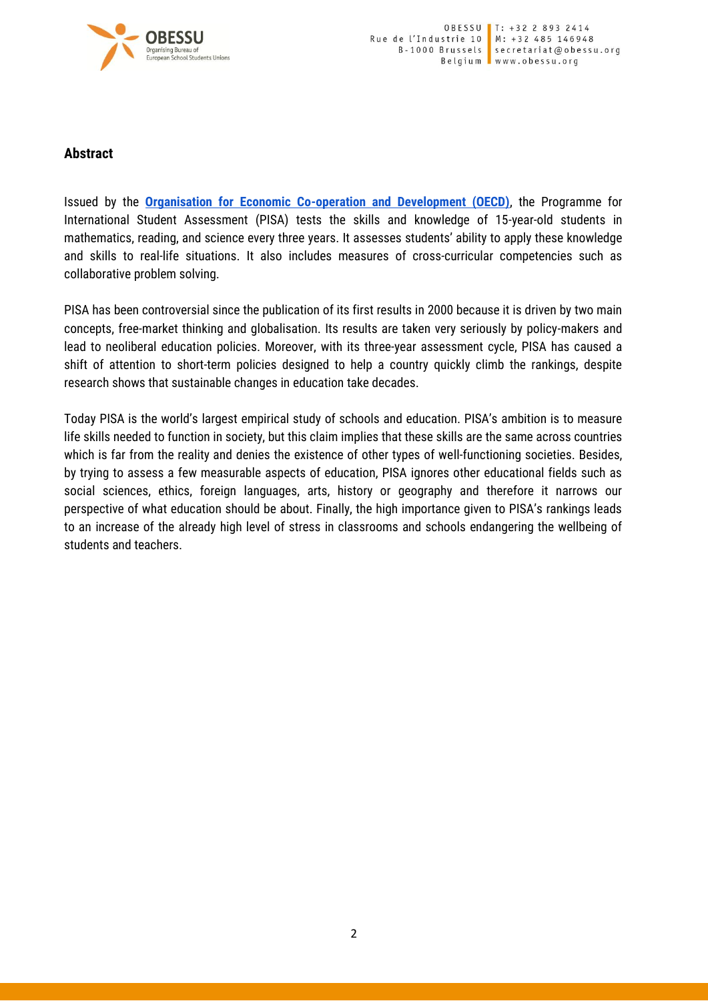

#### **Abstract**

Issued by the **[Organisation for Economic Co-operation and Development \(OECD\)](https://www.oecd.org/)**, the Programme for International Student Assessment (PISA) tests the skills and knowledge of 15-year-old students in mathematics, reading, and science every three years. It assesses students' ability to apply these knowledge and skills to real-life situations. It also includes measures of cross-curricular competencies such as collaborative problem solving.

PISA has been controversial since the publication of its first results in 2000 because it is driven by two main concepts, free-market thinking and globalisation. Its results are taken very seriously by policy-makers and lead to neoliberal education policies. Moreover, with its three-year assessment cycle, PISA has caused a shift of attention to short-term policies designed to help a country quickly climb the rankings, despite research shows that sustainable changes in education take decades.

Today PISA is the world's largest empirical study of schools and education. PISA's ambition is to measure life skills needed to function in society, but this claim implies that these skills are the same across countries which is far from the reality and denies the existence of other types of well-functioning societies. Besides, by trying to assess a few measurable aspects of education, PISA ignores other educational fields such as social sciences, ethics, foreign languages, arts, history or geography and therefore it narrows our perspective of what education should be about. Finally, the high importance given to PISA's rankings leads to an increase of the already high level of stress in classrooms and schools endangering the wellbeing of students and teachers.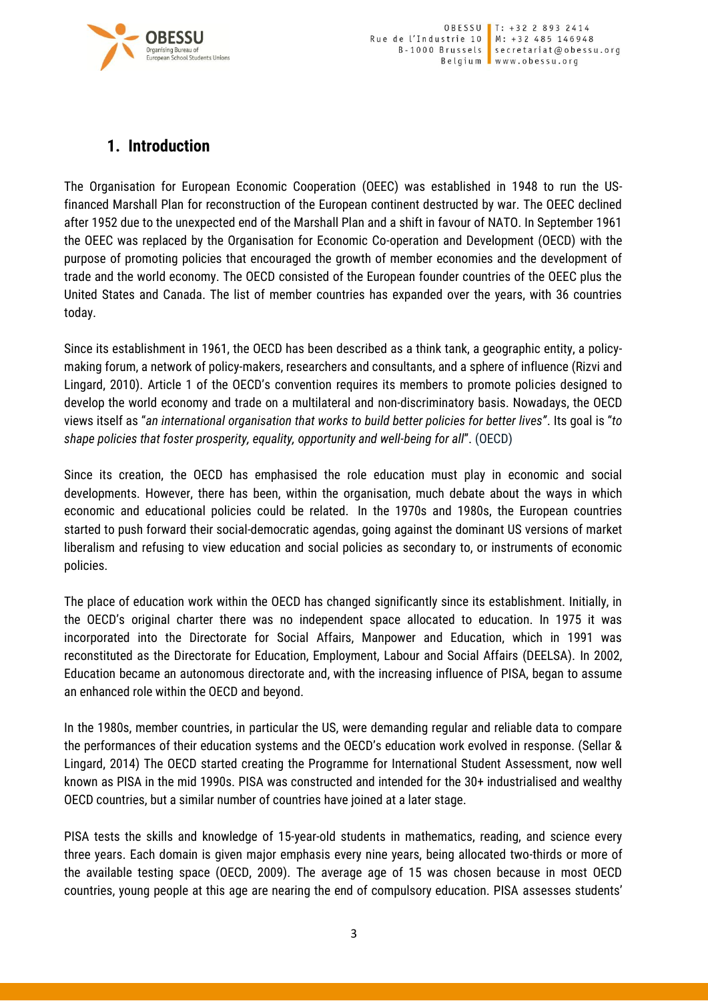

## **1. Introduction**

The Organisation for European Economic Cooperation (OEEC) was established in 1948 to run the USfinanced Marshall Plan for reconstruction of the European continent destructed by war. The OEEC declined after 1952 due to the unexpected end of the Marshall Plan and a shift in favour of NATO. In September 1961 the OEEC was replaced by the Organisation for Economic Co-operation and Development (OECD) with the purpose of promoting policies that encouraged the growth of member economies and the development of trade and the world economy. The OECD consisted of the European founder countries of the OEEC plus the United States and Canada. The list of member countries has expanded over the years, with 36 countries today.

Since its establishment in 1961, the OECD has been described as a think tank, a geographic entity, a policymaking forum, a network of policy-makers, researchers and consultants, and a sphere of influence (Rizvi and Lingard, 2010). Article 1 of the OECD's convention requires its members to promote policies designed to develop the world economy and trade on a multilateral and non-discriminatory basis. Nowadays, the OECD views itself as "*an international organisation that works to build better policies for better lives"*. Its goal is "*to shape policies that foster prosperity, equality, opportunity and well-being for all*". (OECD)

Since its creation, the OECD has emphasised the role education must play in economic and social developments. However, there has been, within the organisation, much debate about the ways in which economic and educational policies could be related. In the 1970s and 1980s, the European countries started to push forward their social-democratic agendas, going against the dominant US versions of market liberalism and refusing to view education and social policies as secondary to, or instruments of economic policies.

The place of education work within the OECD has changed significantly since its establishment. Initially, in the OECD's original charter there was no independent space allocated to education. In 1975 it was incorporated into the Directorate for Social Affairs, Manpower and Education, which in 1991 was reconstituted as the Directorate for Education, Employment, Labour and Social Affairs (DEELSA). In 2002, Education became an autonomous directorate and, with the increasing influence of PISA, began to assume an enhanced role within the OECD and beyond.

In the 1980s, member countries, in particular the US, were demanding regular and reliable data to compare the performances of their education systems and the OECD's education work evolved in response. (Sellar & Lingard, 2014) The OECD started creating the Programme for International Student Assessment, now well known as PISA in the mid 1990s. PISA was constructed and intended for the 30+ industrialised and wealthy OECD countries, but a similar number of countries have joined at a later stage.

PISA tests the skills and knowledge of 15-year-old students in mathematics, reading, and science every three years. Each domain is given major emphasis every nine years, being allocated two-thirds or more of the available testing space (OECD, 2009). The average age of 15 was chosen because in most OECD countries, young people at this age are nearing the end of compulsory education. PISA assesses students'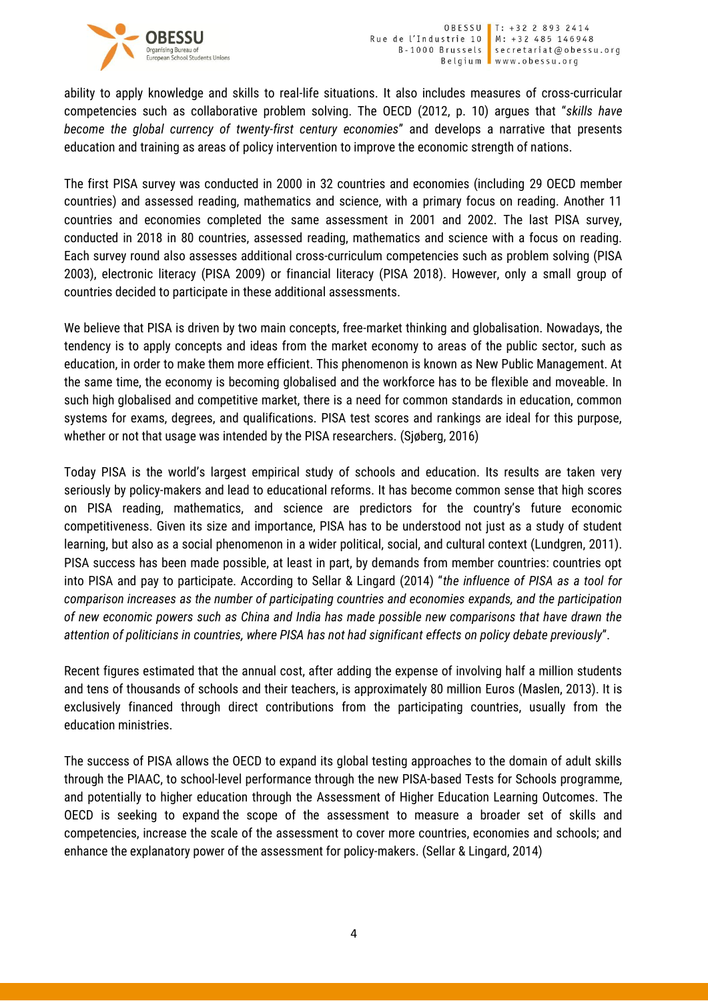

ability to apply knowledge and skills to real-life situations. It also includes measures of cross-curricular competencies such as collaborative problem solving. The OECD (2012, p. 10) argues that "*skills have become the global currency of twenty-first century economies*" and develops a narrative that presents education and training as areas of policy intervention to improve the economic strength of nations.

The first PISA survey was conducted in 2000 in 32 countries and economies (including 29 OECD member countries) and assessed reading, mathematics and science, with a primary focus on reading. Another 11 countries and economies completed the same assessment in 2001 and 2002. The last PISA survey, conducted in 2018 in 80 countries, assessed reading, mathematics and science with a focus on reading. Each survey round also assesses additional cross-curriculum competencies such as problem solving (PISA 2003), electronic literacy (PISA 2009) or financial literacy (PISA 2018). However, only a small group of countries decided to participate in these additional assessments.

We believe that PISA is driven by two main concepts, free-market thinking and globalisation. Nowadays, the tendency is to apply concepts and ideas from the market economy to areas of the public sector, such as education, in order to make them more efficient. This phenomenon is known as New Public Management. At the same time, the economy is becoming globalised and the workforce has to be flexible and moveable. In such high globalised and competitive market, there is a need for common standards in education, common systems for exams, degrees, and qualifications. PISA test scores and rankings are ideal for this purpose, whether or not that usage was intended by the PISA researchers. (Sjøberg, 2016)

Today PISA is the world's largest empirical study of schools and education. Its results are taken very seriously by policy-makers and lead to educational reforms. It has become common sense that high scores on PISA reading, mathematics, and science are predictors for the country's future economic competitiveness. Given its size and importance, PISA has to be understood not just as a study of student learning, but also as a social phenomenon in a wider political, social, and cultural context (Lundgren, 2011). PISA success has been made possible, at least in part, by demands from member countries: countries opt into PISA and pay to participate. According to Sellar & Lingard (2014) "*the influence of PISA as a tool for comparison increases as the number of participating countries and economies expands, and the participation of new economic powers such as China and India has made possible new comparisons that have drawn the attention of politicians in countries, where PISA has not had significant effects on policy debate previously*".

Recent figures estimated that the annual cost, after adding the expense of involving half a million students and tens of thousands of schools and their teachers, is approximately 80 million Euros (Maslen, 2013). It is exclusively financed through direct contributions from the participating countries, usually from the education ministries.

The success of PISA allows the OECD to expand its global testing approaches to the domain of adult skills through the PIAAC, to school-level performance through the new PISA-based Tests for Schools programme, and potentially to higher education through the Assessment of Higher Education Learning Outcomes. The OECD is seeking to expand the scope of the assessment to measure a broader set of skills and competencies, increase the scale of the assessment to cover more countries, economies and schools; and enhance the explanatory power of the assessment for policy-makers. (Sellar & Lingard, 2014)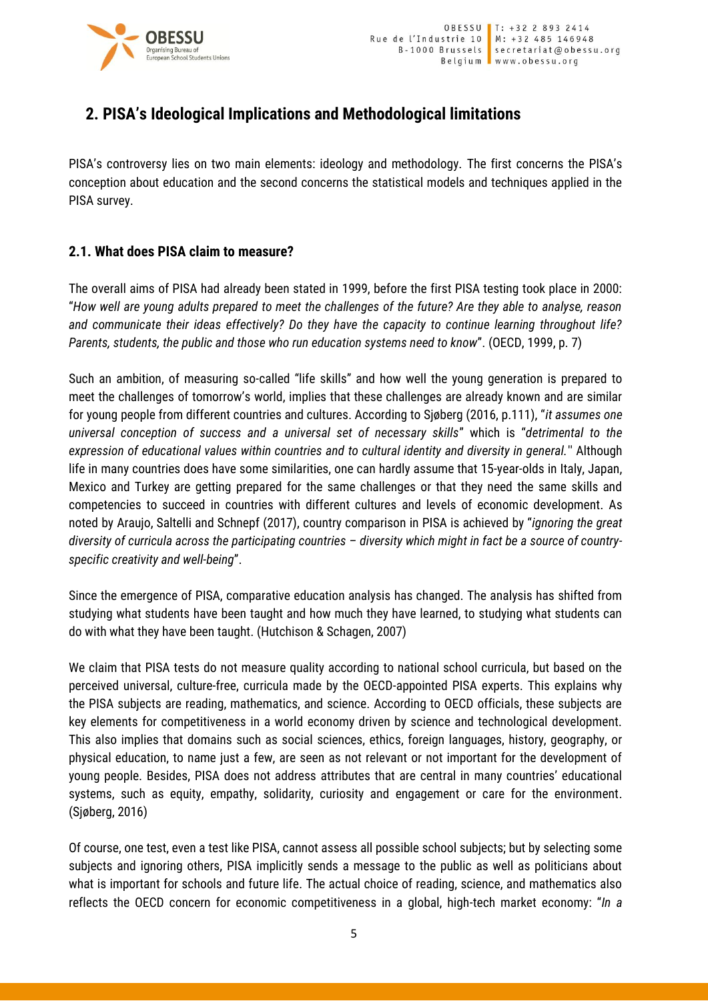

## **2. PISA's Ideological Implications and Methodological limitations**

PISA's controversy lies on two main elements: ideology and methodology. The first concerns the PISA's conception about education and the second concerns the statistical models and techniques applied in the PISA survey.

## **2.1. What does PISA claim to measure?**

The overall aims of PISA had already been stated in 1999, before the first PISA testing took place in 2000: "*How well are young adults prepared to meet the challenges of the future? Are they able to analyse, reason and communicate their ideas effectively? Do they have the capacity to continue learning throughout life? Parents, students, the public and those who run education systems need to know*". (OECD, 1999, p. 7)

Such an ambition, of measuring so-called "life skills" and how well the young generation is prepared to meet the challenges of tomorrow's world, implies that these challenges are already known and are similar for young people from different countries and cultures. According to Sjøberg (2016, p.111), "*it assumes one universal conception of success and a universal set of necessary skills*" which is "*detrimental to the expression of educational values within countries and to cultural identity and diversity in general.*'' Although life in many countries does have some similarities, one can hardly assume that 15-year-olds in Italy, Japan, Mexico and Turkey are getting prepared for the same challenges or that they need the same skills and competencies to succeed in countries with different cultures and levels of economic development. As noted by Araujo, Saltelli and Schnepf (2017), country comparison in PISA is achieved by "*ignoring the great diversity of curricula across the participating countries – diversity which might in fact be a source of countryspecific creativity and well-being*".

Since the emergence of PISA, comparative education analysis has changed. The analysis has shifted from studying what students have been taught and how much they have learned, to studying what students can do with what they have been taught. (Hutchison & Schagen, 2007)

We claim that PISA tests do not measure quality according to national school curricula, but based on the perceived universal, culture-free, curricula made by the OECD-appointed PISA experts. This explains why the PISA subjects are reading, mathematics, and science. According to OECD officials, these subjects are key elements for competitiveness in a world economy driven by science and technological development. This also implies that domains such as social sciences, ethics, foreign languages, history, geography, or physical education, to name just a few, are seen as not relevant or not important for the development of young people. Besides, PISA does not address attributes that are central in many countries' educational systems, such as equity, empathy, solidarity, curiosity and engagement or care for the environment. (Sjøberg, 2016)

Of course, one test, even a test like PISA, cannot assess all possible school subjects; but by selecting some subjects and ignoring others, PISA implicitly sends a message to the public as well as politicians about what is important for schools and future life. The actual choice of reading, science, and mathematics also reflects the OECD concern for economic competitiveness in a global, high-tech market economy: "*In a*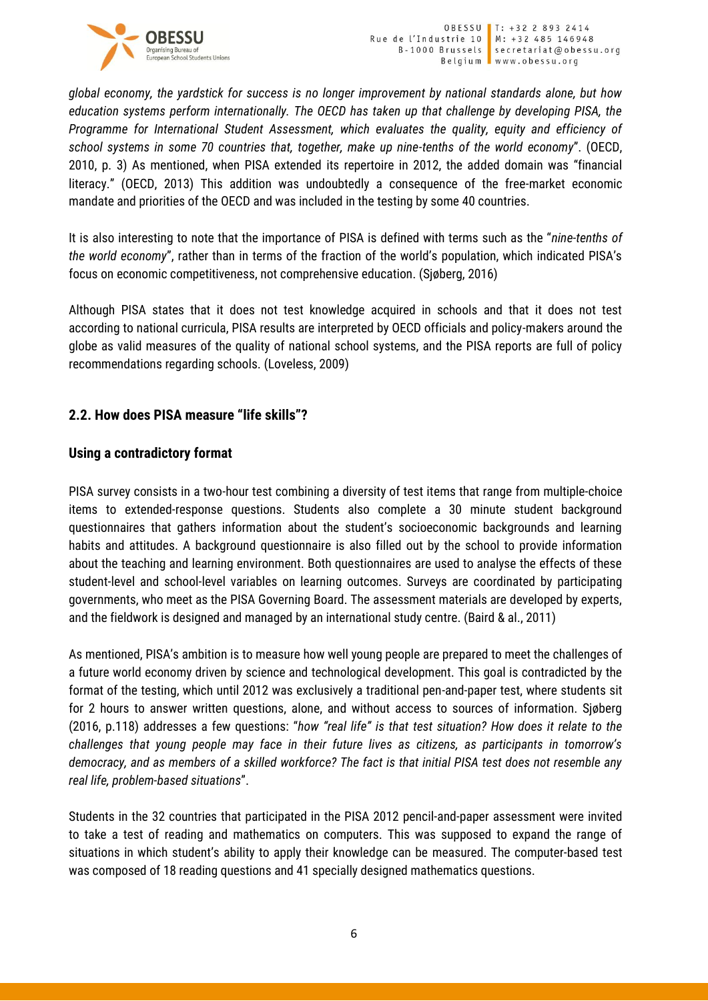

*global economy, the yardstick for success is no longer improvement by national standards alone, but how education systems perform internationally. The OECD has taken up that challenge by developing PISA, the Programme for International Student Assessment, which evaluates the quality, equity and efficiency of school systems in some 70 countries that, together, make up nine-tenths of the world economy*". (OECD, 2010, p. 3) As mentioned, when PISA extended its repertoire in 2012, the added domain was "financial literacy." (OECD, 2013) This addition was undoubtedly a consequence of the free-market economic mandate and priorities of the OECD and was included in the testing by some 40 countries.

It is also interesting to note that the importance of PISA is defined with terms such as the "*nine-tenths of the world economy*", rather than in terms of the fraction of the world's population, which indicated PISA's focus on economic competitiveness, not comprehensive education. (Sjøberg, 2016)

Although PISA states that it does not test knowledge acquired in schools and that it does not test according to national curricula, PISA results are interpreted by OECD officials and policy-makers around the globe as valid measures of the quality of national school systems, and the PISA reports are full of policy recommendations regarding schools. (Loveless, 2009)

## **2.2. How does PISA measure "life skills"?**

## **Using a contradictory format**

PISA survey consists in a two-hour test combining a diversity of test items that range from multiple-choice items to extended-response questions. Students also complete a 30 minute student background questionnaires that gathers information about the student's socioeconomic backgrounds and learning habits and attitudes. A background questionnaire is also filled out by the school to provide information about the teaching and learning environment. Both questionnaires are used to analyse the effects of these student-level and school-level variables on learning outcomes. Surveys are coordinated by participating governments, who meet as the PISA Governing Board. The assessment materials are developed by experts, and the fieldwork is designed and managed by an international study centre. (Baird & al., 2011)

As mentioned, PISA's ambition is to measure how well young people are prepared to meet the challenges of a future world economy driven by science and technological development. This goal is contradicted by the format of the testing, which until 2012 was exclusively a traditional pen-and-paper test, where students sit for 2 hours to answer written questions, alone, and without access to sources of information. Sjøberg (2016, p.118) addresses a few questions: "*how "real life" is that test situation? How does it relate to the challenges that young people may face in their future lives as citizens, as participants in tomorrow's democracy, and as members of a skilled workforce? The fact is that initial PISA test does not resemble any real life, problem-based situations*".

Students in the 32 countries that participated in the PISA 2012 pencil-and-paper assessment were invited to take a test of reading and mathematics on computers. This was supposed to expand the range of situations in which student's ability to apply their knowledge can be measured. The computer-based test was composed of 18 reading questions and 41 specially designed mathematics questions.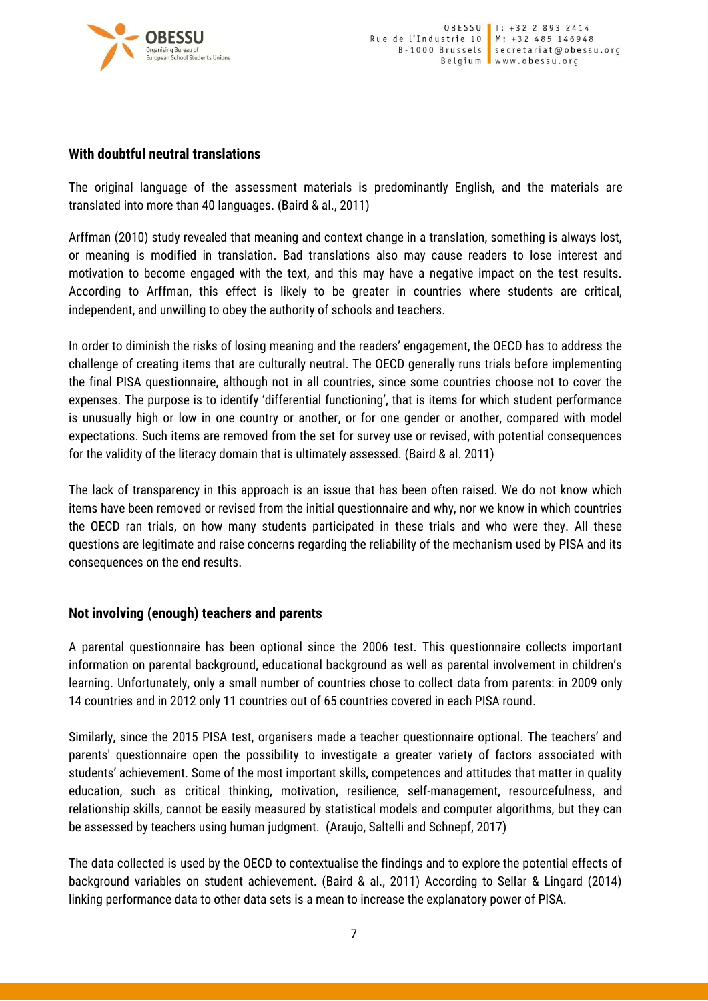

#### **With doubtful neutral translations**

The original language of the assessment materials is predominantly English, and the materials are translated into more than 40 languages. (Baird & al., 2011)

Arffman (2010) study revealed that meaning and context change in a translation, something is always lost, or meaning is modified in translation. Bad translations also may cause readers to lose interest and motivation to become engaged with the text, and this may have a negative impact on the test results. According to Arffman, this effect is likely to be greater in countries where students are critical, independent, and unwilling to obey the authority of schools and teachers.

In order to diminish the risks of losing meaning and the readers' engagement, the OECD has to address the challenge of creating items that are culturally neutral. The OECD generally runs trials before implementing the final PISA questionnaire, although not in all countries, since some countries choose not to cover the expenses. The purpose is to identify 'differential functioning', that is items for which student performance is unusually high or low in one country or another, or for one gender or another, compared with model expectations. Such items are removed from the set for survey use or revised, with potential consequences for the validity of the literacy domain that is ultimately assessed. (Baird & al. 2011)

The lack of transparency in this approach is an issue that has been often raised. We do not know which items have been removed or revised from the initial questionnaire and why, nor we know in which countries the OECD ran trials, on how many students participated in these trials and who were they. All these questions are legitimate and raise concerns regarding the reliability of the mechanism used by PISA and its consequences on the end results.

## **Not involving (enough) teachers and parents**

A parental questionnaire has been optional since the 2006 test. This questionnaire collects important information on parental background, educational background as well as parental involvement in children's learning. Unfortunately, only a small number of countries chose to collect data from parents: in 2009 only 14 countries and in 2012 only 11 countries out of 65 countries covered in each PISA round.

Similarly, since the 2015 PISA test, organisers made a teacher questionnaire optional. The teachers' and parents' questionnaire open the possibility to investigate a greater variety of factors associated with students' achievement. Some of the most important skills, competences and attitudes that matter in quality education, such as critical thinking, motivation, resilience, self-management, resourcefulness, and relationship skills, cannot be easily measured by statistical models and computer algorithms, but they can be assessed by teachers using human judgment. (Araujo, Saltelli and Schnepf, 2017)

The data collected is used by the OECD to contextualise the findings and to explore the potential effects of background variables on student achievement. (Baird & al., 2011) According to Sellar & Lingard (2014) linking performance data to other data sets is a mean to increase the explanatory power of PISA.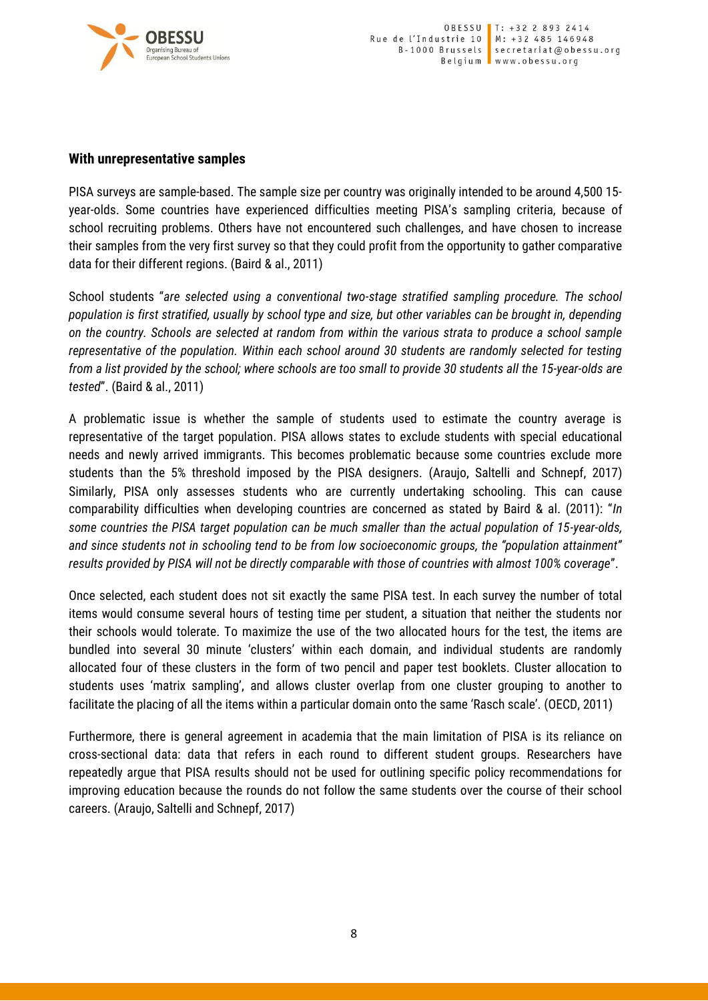

#### **With unrepresentative samples**

PISA surveys are sample-based. The sample size per country was originally intended to be around 4,500 15 year-olds. Some countries have experienced difficulties meeting PISA's sampling criteria, because of school recruiting problems. Others have not encountered such challenges, and have chosen to increase their samples from the very first survey so that they could profit from the opportunity to gather comparative data for their different regions. (Baird & al., 2011)

School students "*are selected using a conventional two-stage stratified sampling procedure. The school population is first stratified, usually by school type and size, but other variables can be brought in, depending on the country. Schools are selected at random from within the various strata to produce a school sample representative of the population. Within each school around 30 students are randomly selected for testing from a list provided by the school; where schools are too small to provide 30 students all the 15-year-olds are tested*". (Baird & al., 2011)

A problematic issue is whether the sample of students used to estimate the country average is representative of the target population. PISA allows states to exclude students with special educational needs and newly arrived immigrants. This becomes problematic because some countries exclude more students than the 5% threshold imposed by the PISA designers. (Araujo, Saltelli and Schnepf, 2017) Similarly, PISA only assesses students who are currently undertaking schooling. This can cause comparability difficulties when developing countries are concerned as stated by Baird & al. (2011): "*In some countries the PISA target population can be much smaller than the actual population of 15-year-olds, and since students not in schooling tend to be from low socioeconomic groups, the "population attainment" results provided by PISA will not be directly comparable with those of countries with almost 100% coverage*".

Once selected, each student does not sit exactly the same PISA test. In each survey the number of total items would consume several hours of testing time per student, a situation that neither the students nor their schools would tolerate. To maximize the use of the two allocated hours for the test, the items are bundled into several 30 minute 'clusters' within each domain, and individual students are randomly allocated four of these clusters in the form of two pencil and paper test booklets. Cluster allocation to students uses 'matrix sampling', and allows cluster overlap from one cluster grouping to another to facilitate the placing of all the items within a particular domain onto the same 'Rasch scale'. (OECD, 2011)

Furthermore, there is general agreement in academia that the main limitation of PISA is its reliance on cross-sectional data: data that refers in each round to different student groups. Researchers have repeatedly argue that PISA results should not be used for outlining specific policy recommendations for improving education because the rounds do not follow the same students over the course of their school careers. (Araujo, Saltelli and Schnepf, 2017)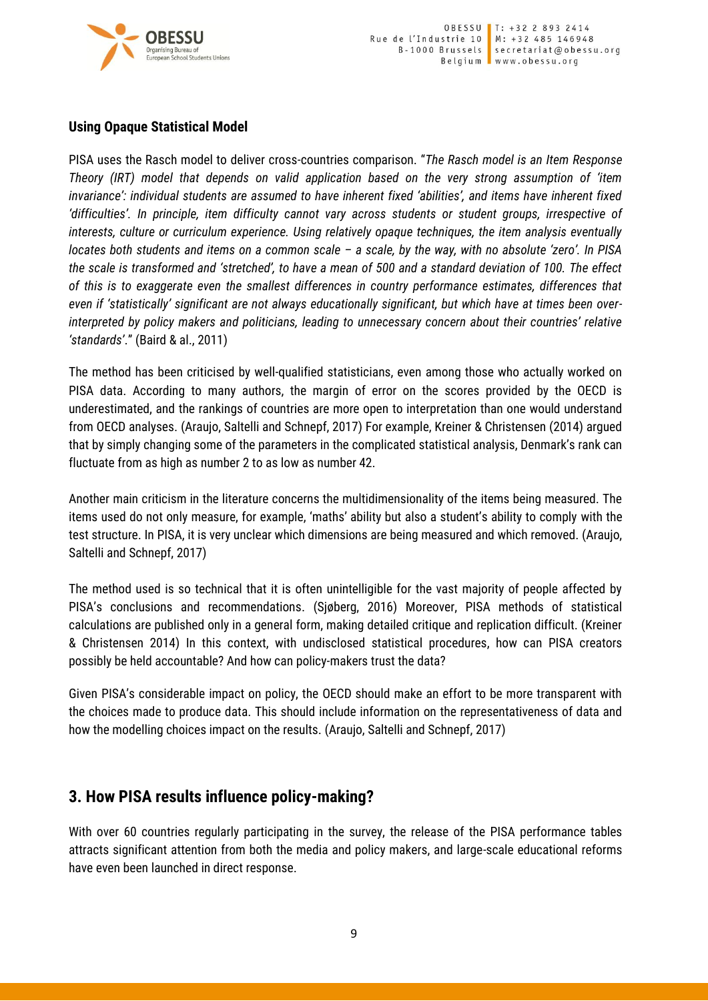

## **Using Opaque Statistical Model**

PISA uses the Rasch model to deliver cross-countries comparison. "*The Rasch model is an Item Response Theory (IRT) model that depends on valid application based on the very strong assumption of 'item invariance': individual students are assumed to have inherent fixed 'abilities', and items have inherent fixed 'difficulties'. In principle, item difficulty cannot vary across students or student groups, irrespective of interests, culture or curriculum experience. Using relatively opaque techniques, the item analysis eventually locates both students and items on a common scale – a scale, by the way, with no absolute 'zero'. In PISA the scale is transformed and 'stretched', to have a mean of 500 and a standard deviation of 100. The effect of this is to exaggerate even the smallest differences in country performance estimates, differences that even if 'statistically' significant are not always educationally significant, but which have at times been overinterpreted by policy makers and politicians, leading to unnecessary concern about their countries' relative 'standards'*." (Baird & al., 2011)

The method has been criticised by well-qualified statisticians, even among those who actually worked on PISA data. According to many authors, the margin of error on the scores provided by the OECD is underestimated, and the rankings of countries are more open to interpretation than one would understand from OECD analyses. (Araujo, Saltelli and Schnepf, 2017) For example, Kreiner & Christensen (2014) argued that by simply changing some of the parameters in the complicated statistical analysis, Denmark's rank can fluctuate from as high as number 2 to as low as number 42.

Another main criticism in the literature concerns the multidimensionality of the items being measured. The items used do not only measure, for example, 'maths' ability but also a student's ability to comply with the test structure. In PISA, it is very unclear which dimensions are being measured and which removed. (Araujo, Saltelli and Schnepf, 2017)

The method used is so technical that it is often unintelligible for the vast majority of people affected by PISA's conclusions and recommendations. (Sjøberg, 2016) Moreover, PISA methods of statistical calculations are published only in a general form, making detailed critique and replication difficult. (Kreiner & Christensen 2014) In this context, with undisclosed statistical procedures, how can PISA creators possibly be held accountable? And how can policy-makers trust the data?

Given PISA's considerable impact on policy, the OECD should make an effort to be more transparent with the choices made to produce data. This should include information on the representativeness of data and how the modelling choices impact on the results. (Araujo, Saltelli and Schnepf, 2017)

## **3. How PISA results influence policy-making?**

With over 60 countries regularly participating in the survey, the release of the PISA performance tables attracts significant attention from both the media and policy makers, and large-scale educational reforms have even been launched in direct response.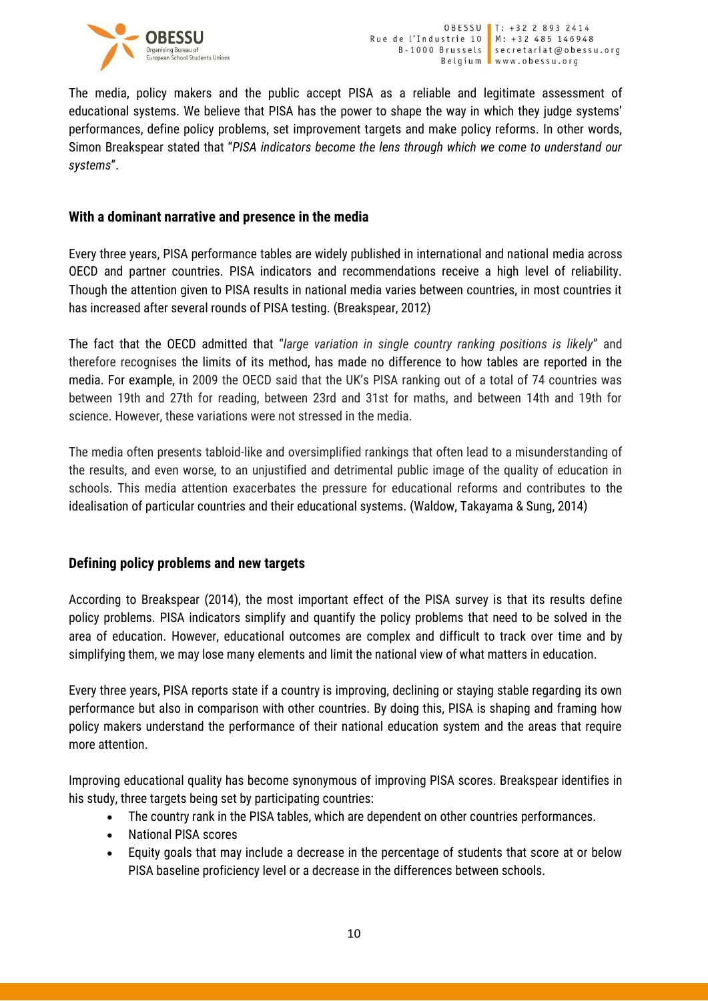

The media, policy makers and the public accept PISA as a reliable and legitimate assessment of educational systems. We believe that PISA has the power to shape the way in which they judge systems' performances, define policy problems, set improvement targets and make policy reforms. In other words, Simon Breakspear stated that "*PISA indicators become the lens through which we come to understand our systems*".

### **With a dominant narrative and presence in the media**

Every three years, PISA performance tables are widely published in international and national media across OECD and partner countries. PISA indicators and recommendations receive a high level of reliability. Though the attention given to PISA results in national media varies between countries, in most countries it has increased after several rounds of PISA testing. (Breakspear, 2012)

The fact that the OECD admitted that "*large variation in single country ranking positions is likely*" and therefore recognises the limits of its method, has made no difference to how tables are reported in the media. For example, in 2009 the OECD said that the UK's PISA ranking out of a total of 74 countries was between 19th and 27th for reading, between 23rd and 31st for maths, and between 14th and 19th for science. However, these variations were not stressed in the media.

The media often presents tabloid-like and oversimplified rankings that often lead to a misunderstanding of the results, and even worse, to an unjustified and detrimental public image of the quality of education in schools. This media attention exacerbates the pressure for educational reforms and contributes to the idealisation of particular countries and their educational systems. (Waldow, Takayama & Sung, 2014)

## **Defining policy problems and new targets**

According to Breakspear (2014), the most important effect of the PISA survey is that its results define policy problems. PISA indicators simplify and quantify the policy problems that need to be solved in the area of education. However, educational outcomes are complex and difficult to track over time and by simplifying them, we may lose many elements and limit the national view of what matters in education.

Every three years, PISA reports state if a country is improving, declining or staying stable regarding its own performance but also in comparison with other countries. By doing this, PISA is shaping and framing how policy makers understand the performance of their national education system and the areas that require more attention.

Improving educational quality has become synonymous of improving PISA scores. Breakspear identifies in his study, three targets being set by participating countries:

- The country rank in the PISA tables, which are dependent on other countries performances.
- National PISA scores
- Equity goals that may include a decrease in the percentage of students that score at or below PISA baseline proficiency level or a decrease in the differences between schools.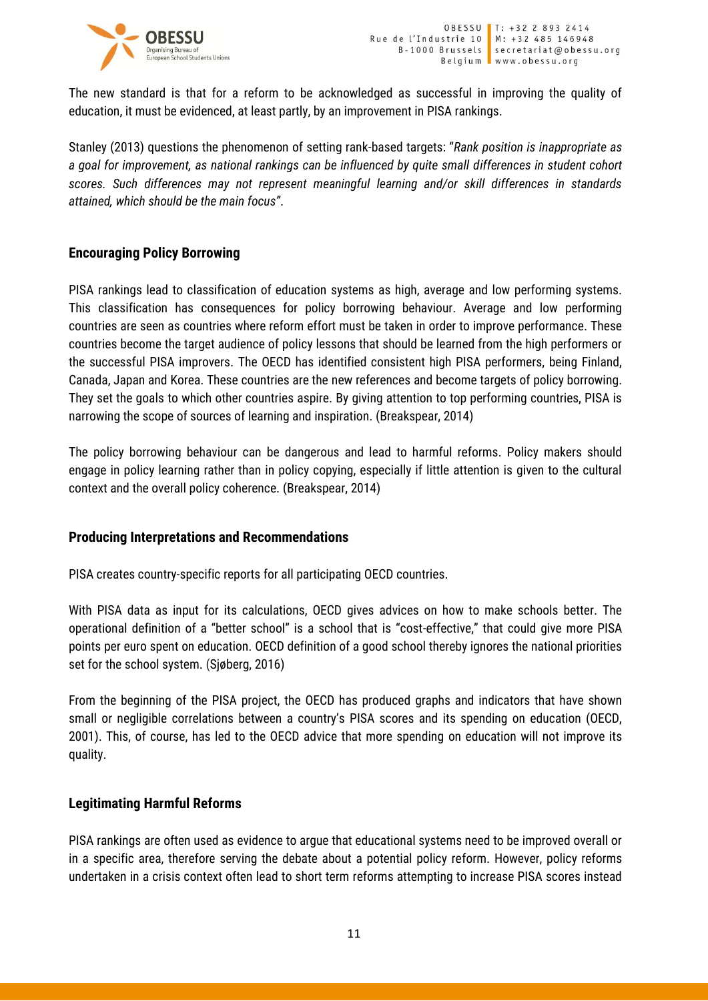

The new standard is that for a reform to be acknowledged as successful in improving the quality of education, it must be evidenced, at least partly, by an improvement in PISA rankings.

Stanley (2013) questions the phenomenon of setting rank-based targets: "*Rank position is inappropriate as a goal for improvement, as national rankings can be influenced by quite small differences in student cohort scores. Such differences may not represent meaningful learning and/or skill differences in standards attained, which should be the main focus"*.

## **Encouraging Policy Borrowing**

PISA rankings lead to classification of education systems as high, average and low performing systems. This classification has consequences for policy borrowing behaviour. Average and low performing countries are seen as countries where reform effort must be taken in order to improve performance. These countries become the target audience of policy lessons that should be learned from the high performers or the successful PISA improvers. The OECD has identified consistent high PISA performers, being Finland, Canada, Japan and Korea. These countries are the new references and become targets of policy borrowing. They set the goals to which other countries aspire. By giving attention to top performing countries, PISA is narrowing the scope of sources of learning and inspiration. (Breakspear, 2014)

The policy borrowing behaviour can be dangerous and lead to harmful reforms. Policy makers should engage in policy learning rather than in policy copying, especially if little attention is given to the cultural context and the overall policy coherence. (Breakspear, 2014)

#### **Producing Interpretations and Recommendations**

PISA creates country-specific reports for all participating OECD countries.

With PISA data as input for its calculations, OECD gives advices on how to make schools better. The operational definition of a "better school" is a school that is "cost-effective," that could give more PISA points per euro spent on education. OECD definition of a good school thereby ignores the national priorities set for the school system. (Sjøberg, 2016)

From the beginning of the PISA project, the OECD has produced graphs and indicators that have shown small or negligible correlations between a country's PISA scores and its spending on education (OECD, 2001). This, of course, has led to the OECD advice that more spending on education will not improve its quality.

#### **Legitimating Harmful Reforms**

PISA rankings are often used as evidence to argue that educational systems need to be improved overall or in a specific area, therefore serving the debate about a potential policy reform. However, policy reforms undertaken in a crisis context often lead to short term reforms attempting to increase PISA scores instead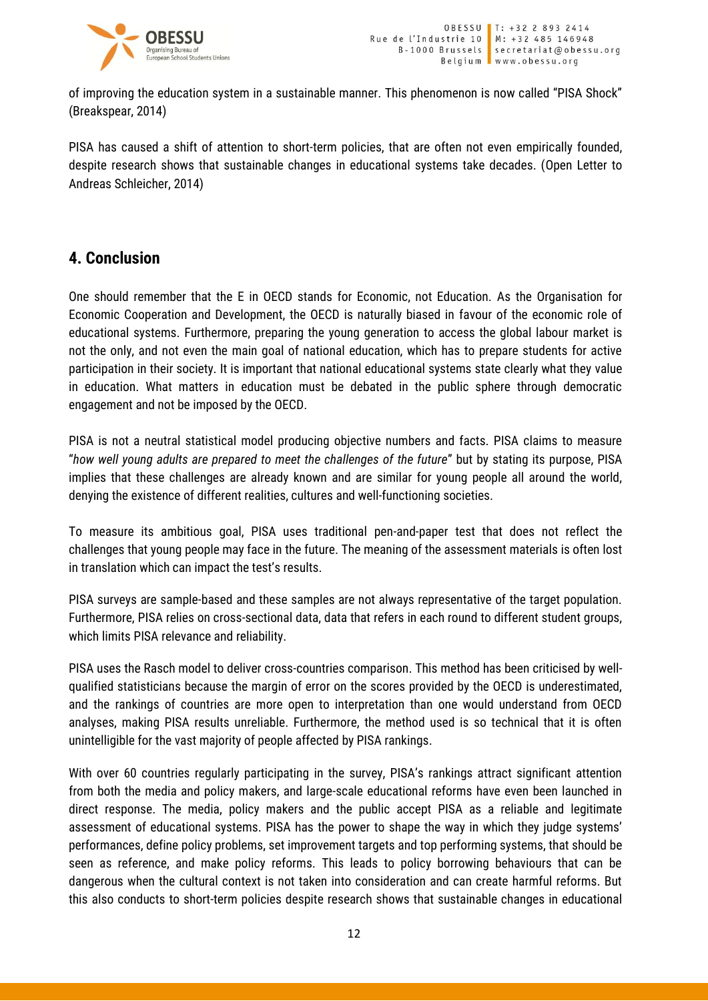

of improving the education system in a sustainable manner. This phenomenon is now called "PISA Shock" (Breakspear, 2014)

PISA has caused a shift of attention to short-term policies, that are often not even empirically founded, despite research shows that sustainable changes in educational systems take decades. (Open Letter to Andreas Schleicher, 2014)

## **4. Conclusion**

One should remember that the E in OECD stands for Economic, not Education. As the Organisation for Economic Cooperation and Development, the OECD is naturally biased in favour of the economic role of educational systems. Furthermore, preparing the young generation to access the global labour market is not the only, and not even the main goal of national education, which has to prepare students for active participation in their society. It is important that national educational systems state clearly what they value in education. What matters in education must be debated in the public sphere through democratic engagement and not be imposed by the OECD.

PISA is not a neutral statistical model producing objective numbers and facts. PISA claims to measure "*how well young adults are prepared to meet the challenges of the future*" but by stating its purpose, PISA implies that these challenges are already known and are similar for young people all around the world, denying the existence of different realities, cultures and well-functioning societies.

To measure its ambitious goal, PISA uses traditional pen-and-paper test that does not reflect the challenges that young people may face in the future. The meaning of the assessment materials is often lost in translation which can impact the test's results.

PISA surveys are sample-based and these samples are not always representative of the target population. Furthermore, PISA relies on cross-sectional data, data that refers in each round to different student groups, which limits PISA relevance and reliability.

PISA uses the Rasch model to deliver cross-countries comparison. This method has been criticised by wellqualified statisticians because the margin of error on the scores provided by the OECD is underestimated, and the rankings of countries are more open to interpretation than one would understand from OECD analyses, making PISA results unreliable. Furthermore, the method used is so technical that it is often unintelligible for the vast majority of people affected by PISA rankings.

With over 60 countries regularly participating in the survey, PISA's rankings attract significant attention from both the media and policy makers, and large-scale educational reforms have even been launched in direct response. The media, policy makers and the public accept PISA as a reliable and legitimate assessment of educational systems. PISA has the power to shape the way in which they judge systems' performances, define policy problems, set improvement targets and top performing systems, that should be seen as reference, and make policy reforms. This leads to policy borrowing behaviours that can be dangerous when the cultural context is not taken into consideration and can create harmful reforms. But this also conducts to short-term policies despite research shows that sustainable changes in educational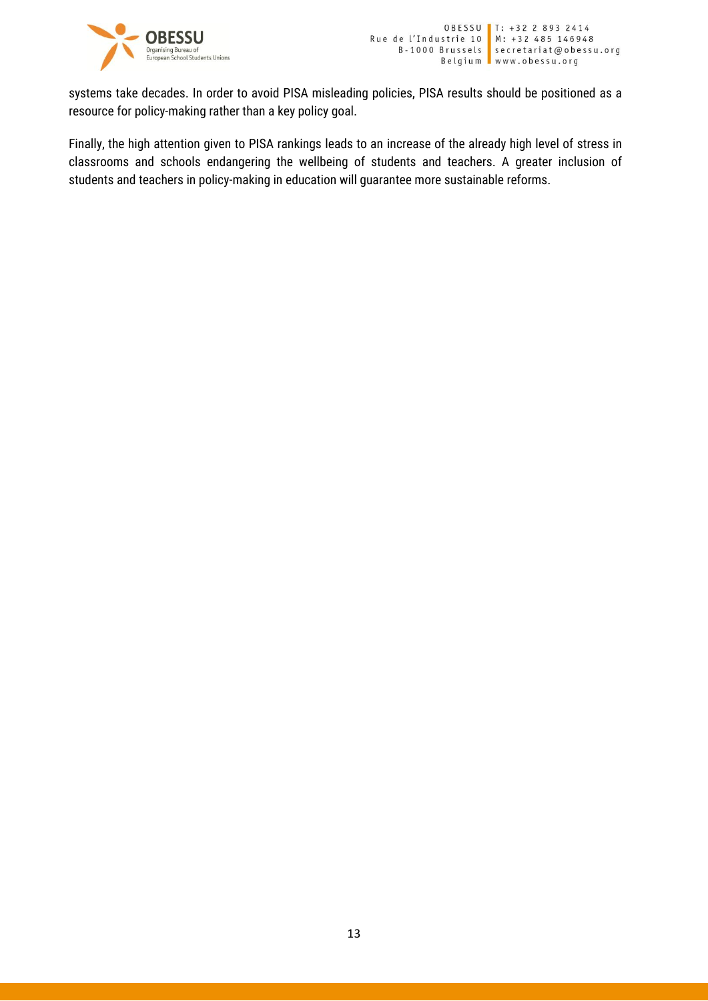

systems take decades. In order to avoid PISA misleading policies, PISA results should be positioned as a resource for policy-making rather than a key policy goal.

Finally, the high attention given to PISA rankings leads to an increase of the already high level of stress in classrooms and schools endangering the wellbeing of students and teachers. A greater inclusion of students and teachers in policy-making in education will guarantee more sustainable reforms.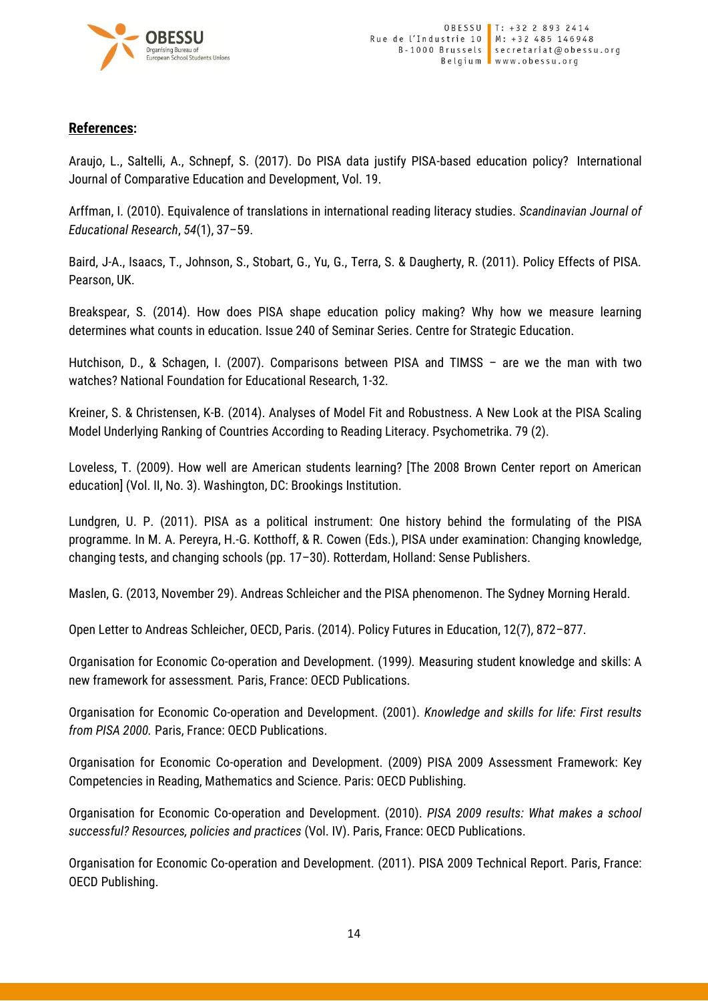

## **References:**

Araujo, L., Saltelli, A., Schnepf, S. (2017). Do PISA data justify PISA-based education policy? International Journal of Comparative Education and Development, Vol. 19.

Arffman, I. (2010). Equivalence of translations in international reading literacy studies. *Scandinavian Journal of Educational Research*, *54*(1), 37–59.

Baird, J-A., Isaacs, T., Johnson, S., Stobart, G., Yu, G., Terra, S. & Daugherty, R. (2011). Policy Effects of PISA. Pearson, UK.

Breakspear, S. (2014). How does PISA shape education policy making? Why how we measure learning determines what counts in education. Issue 240 of Seminar Series. Centre for Strategic Education.

Hutchison, D., & Schagen, I. (2007). Comparisons between PISA and TIMSS – are we the man with two watches? National Foundation for Educational Research, 1-32.

Kreiner, S. & Christensen, K-B. (2014). Analyses of Model Fit and Robustness. A New Look at the PISA Scaling Model Underlying Ranking of Countries According to Reading Literacy. Psychometrika. 79 (2).

Loveless, T. (2009). How well are American students learning? [The 2008 Brown Center report on American education] (Vol. II, No. 3). Washington, DC: Brookings Institution.

Lundgren, U. P. (2011). PISA as a political instrument: One history behind the formulating of the PISA programme. In M. A. Pereyra, H.-G. Kotthoff, & R. Cowen (Eds.), PISA under examination: Changing knowledge, changing tests, and changing schools (pp. 17–30). Rotterdam, Holland: Sense Publishers.

Maslen, G. (2013, November 29). Andreas Schleicher and the PISA phenomenon. The Sydney Morning Herald.

Open Letter to Andreas Schleicher, OECD, Paris. (2014). Policy Futures in Education, 12(7), 872–877.

Organisation for Economic Co-operation and Development. (1999*).* Measuring student knowledge and skills: A new framework for assessment*.* Paris, France: OECD Publications.

Organisation for Economic Co-operation and Development. (2001). *Knowledge and skills for life: First results from PISA 2000.* Paris, France: OECD Publications.

Organisation for Economic Co-operation and Development. (2009) PISA 2009 Assessment Framework: Key Competencies in Reading, Mathematics and Science. Paris: OECD Publishing.

Organisation for Economic Co-operation and Development. (2010). *PISA 2009 results: What makes a school successful? Resources, policies and practices* (Vol. IV). Paris, France: OECD Publications.

Organisation for Economic Co-operation and Development. (2011). PISA 2009 Technical Report. Paris, France: OECD Publishing.